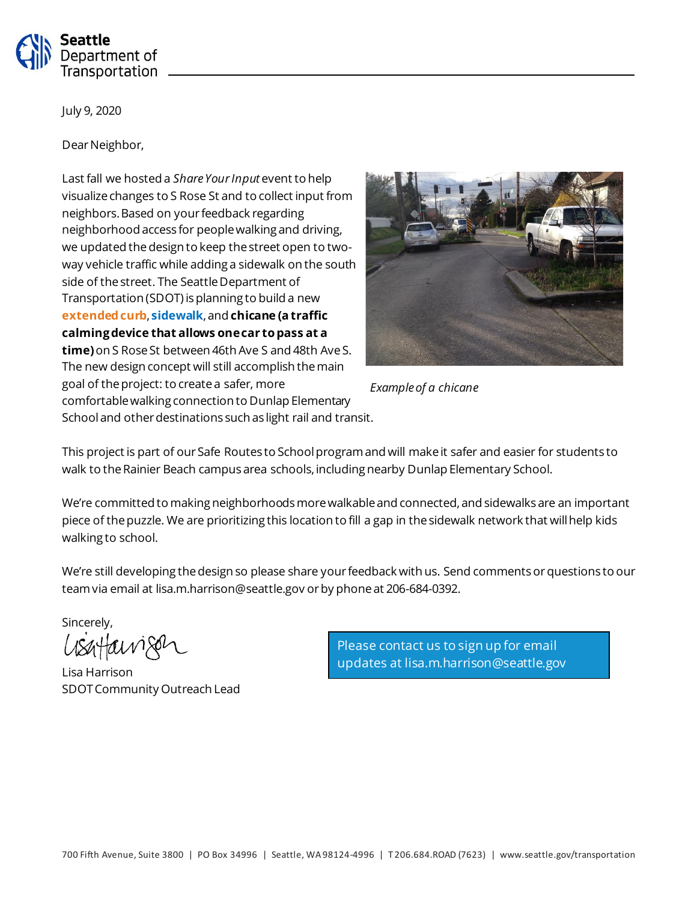

July 9, 2020

Dear Neighbor,

Last fall we hosted a *Share Your Input* event to help visualize changes to S Rose St and to collect input from neighbors. Based on your feedback regarding neighborhood access for people walking and driving, we updated the design to keep the street open to twoway vehicle traffic while adding a sidewalk on the south side of the street. The Seattle Department of Transportation (SDOT) is planning to build a new **extended curb**, **sidewalk**, and **chicane (a traffic calming device that allows one car to pass at a time)**on S Rose St between 46th Ave S and 48th Ave S. The new design concept will still accomplish the main goal of the project: to create a safer, more comfortable walking connection to Dunlap Elementary School and other destinations such as light rail and transit.



*Example of a chicane*

This project is part of our Safe Routes to School program and will make it safer and easier for students to walk to the Rainier Beach campus area schools, including nearby Dunlap Elementary School.

We're committed to making neighborhoods more walkable and connected, and sidewalks are an important piece of the puzzle. We are prioritizing this location to fill a gap in the sidewalk network that will help kids walking to school.

We're still developing the design so please share your feedback with us. Send comments orquestions to our team via email at lisa.m.harrison@seattle.gov or by phone at 206-684-0392.

Sincerely,

avizer

Lisa Harrison SDOT Community Outreach Lead

Please contact us to sign up for email updates at lisa.m.harrison@seattle.gov